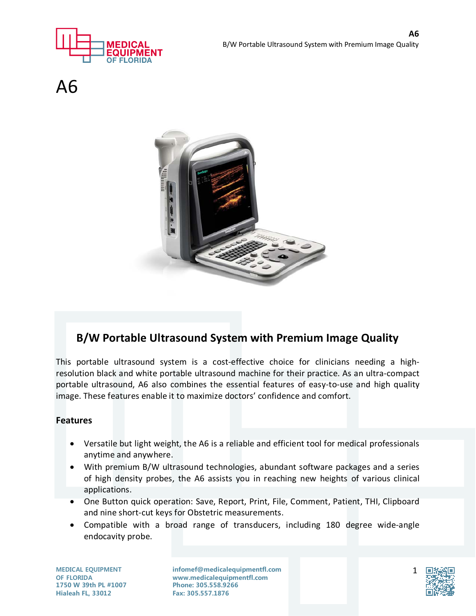



 $\Delta$ 6



## **B/W Portable Ultrasound System with Premium Image Quality**

This portable ultrasound system is a cost-effective choice for clinicians needing a highresolution black and white portable ultrasound machine for their practice. As an ultra-compact portable ultrasound, A6 also combines the essential features of easy-to-use and high quality image. These features enable it to maximize doctors' confidence and comfort.

## **Features**

- Versatile but light weight, the A6 is a reliable and efficient tool for medical professionals anytime and anywhere.
- With premium B/W ultrasound technologies, abundant software packages and a series of high density probes, the A6 assists you in reaching new heights of various clinical applications.
- One Button quick operation: Save, Report, Print, File, Comment, Patient, THI, Clipboard and nine short-cut keys for Obstetric measurements.
- Compatible with a broad range of transducers, including 180 degree wide-angle endocavity probe.

**MEDICAL EQUIPMENT OF FLORIDA 1750 W 39th PL #1007 Hialeah FL, 33012**

**infomef@medicalequipmentfl.com www.medicalequipmentfl.com Phone: 305.558.9266 Fax: 305.557.1876**